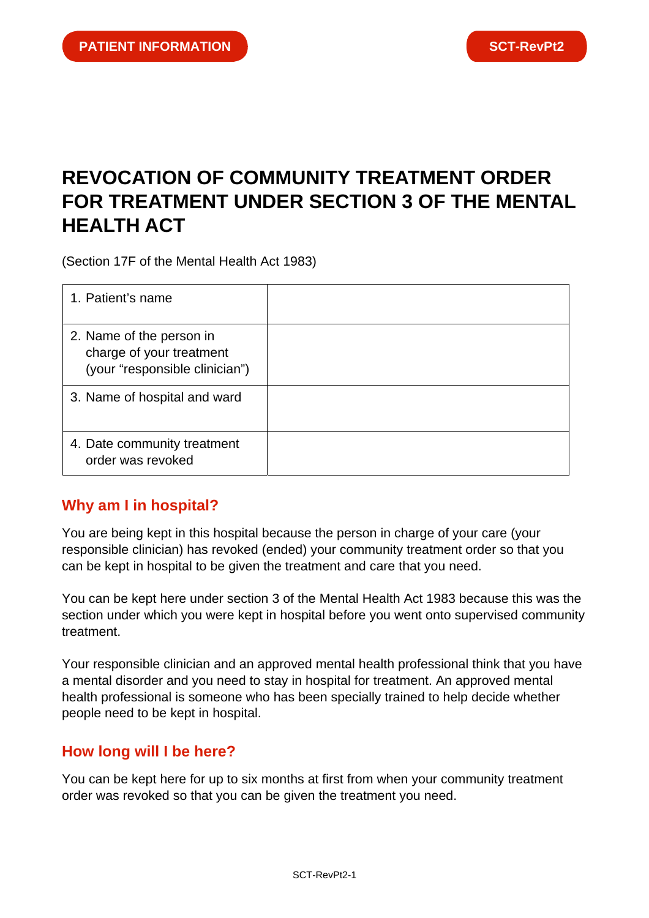# **REVOCATION OF COMMUNITY TREATMENT ORDER FOR TREATMENT UNDER SECTION 3 OF THE MENTAL HEALTH ACT**

(Section 17F of the Mental Health Act 1983)

| 1. Patient's name                                                                      |  |
|----------------------------------------------------------------------------------------|--|
| 2. Name of the person in<br>charge of your treatment<br>(your "responsible clinician") |  |
| 3. Name of hospital and ward                                                           |  |
| 4. Date community treatment<br>order was revoked                                       |  |

## **Why am I in hospital?**

You are being kept in this hospital because the person in charge of your care (your responsible clinician) has revoked (ended) your community treatment order so that you can be kept in hospital to be given the treatment and care that you need.

You can be kept here under section 3 of the Mental Health Act 1983 because this was the section under which you were kept in hospital before you went onto supervised community treatment.

Your responsible clinician and an approved mental health professional think that you have a mental disorder and you need to stay in hospital for treatment. An approved mental health professional is someone who has been specially trained to help decide whether people need to be kept in hospital.

## **How long will I be here?**

You can be kept here for up to six months at first from when your community treatment order was revoked so that you can be given the treatment you need.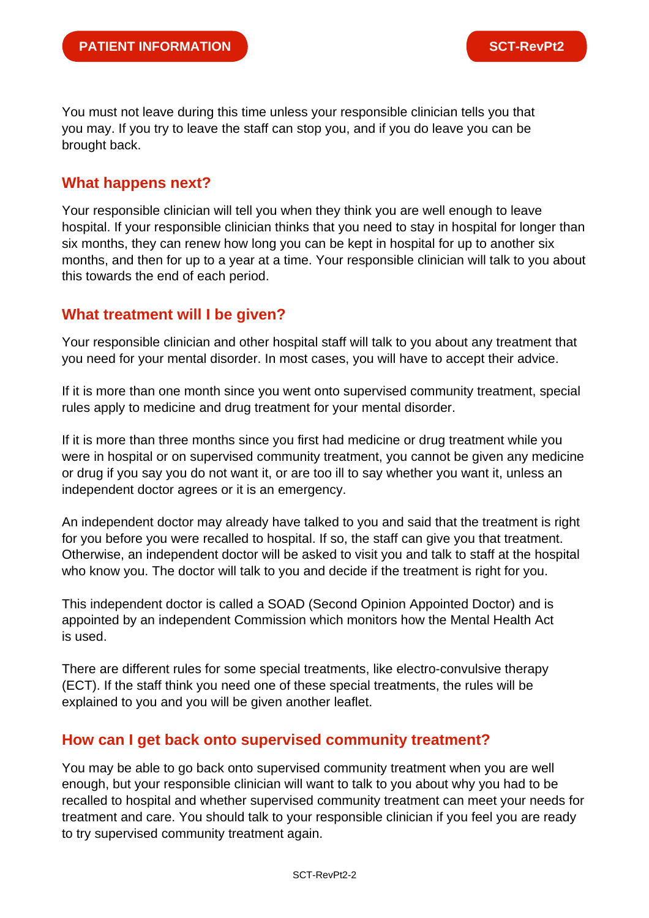You must not leave during this time unless your responsible clinician tells you that you may. If you try to leave the staff can stop you, and if you do leave you can be brought back.

### **What happens next?**

Your responsible clinician will tell you when they think you are well enough to leave hospital. If your responsible clinician thinks that you need to stay in hospital for longer than six months, they can renew how long you can be kept in hospital for up to another six months, and then for up to a year at a time. Your responsible clinician will talk to you about this towards the end of each period.

## **What treatment will I be given?**

Your responsible clinician and other hospital staff will talk to you about any treatment that you need for your mental disorder. In most cases, you will have to accept their advice.

If it is more than one month since you went onto supervised community treatment, special rules apply to medicine and drug treatment for your mental disorder.

If it is more than three months since you first had medicine or drug treatment while you were in hospital or on supervised community treatment, you cannot be given any medicine or drug if you say you do not want it, or are too ill to say whether you want it, unless an independent doctor agrees or it is an emergency.

An independent doctor may already have talked to you and said that the treatment is right for you before you were recalled to hospital. If so, the staff can give you that treatment. Otherwise, an independent doctor will be asked to visit you and talk to staff at the hospital who know you. The doctor will talk to you and decide if the treatment is right for you.

This independent doctor is called a SOAD (Second Opinion Appointed Doctor) and is appointed by an independent Commission which monitors how the Mental Health Act is used.

There are different rules for some special treatments, like electro-convulsive therapy (ECT). If the staff think you need one of these special treatments, the rules will be explained to you and you will be given another leaflet.

## **How can I get back onto supervised community treatment?**

You may be able to go back onto supervised community treatment when you are well enough, but your responsible clinician will want to talk to you about why you had to be recalled to hospital and whether supervised community treatment can meet your needs for treatment and care. You should talk to your responsible clinician if you feel you are ready to try supervised community treatment again.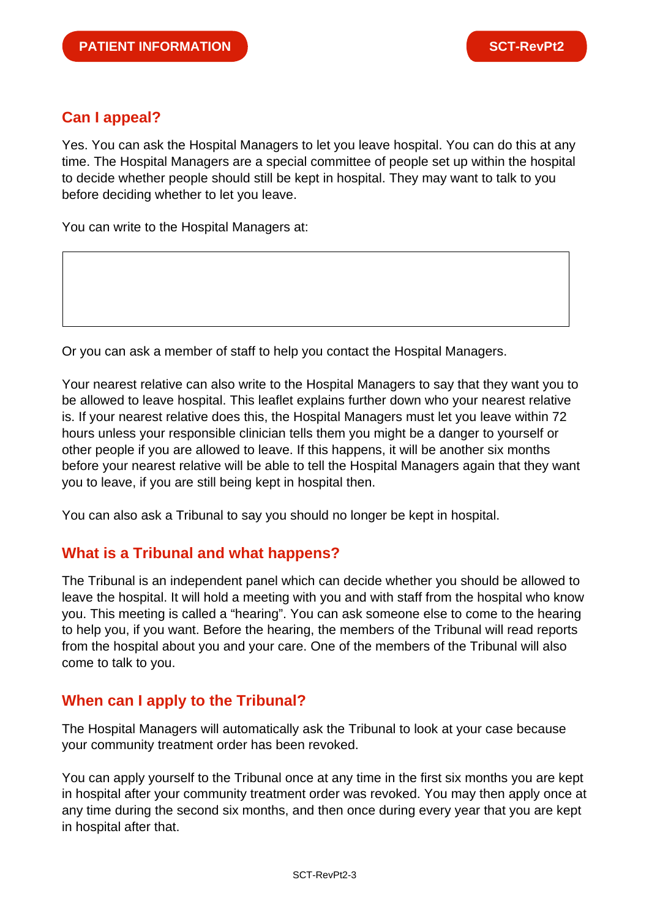## **Can I appeal?**

Yes. You can ask the Hospital Managers to let you leave hospital. You can do this at any time. The Hospital Managers are a special committee of people set up within the hospital to decide whether people should still be kept in hospital. They may want to talk to you before deciding whether to let you leave.

You can write to the Hospital Managers at:

Or you can ask a member of staff to help you contact the Hospital Managers.

Your nearest relative can also write to the Hospital Managers to say that they want you to be allowed to leave hospital. This leaflet explains further down who your nearest relative is. If your nearest relative does this, the Hospital Managers must let you leave within 72 hours unless your responsible clinician tells them you might be a danger to yourself or other people if you are allowed to leave. If this happens, it will be another six months before your nearest relative will be able to tell the Hospital Managers again that they want you to leave, if you are still being kept in hospital then.

You can also ask a Tribunal to say you should no longer be kept in hospital.

#### **What is a Tribunal and what happens?**

The Tribunal is an independent panel which can decide whether you should be allowed to leave the hospital. It will hold a meeting with you and with staff from the hospital who know you. This meeting is called a "hearing". You can ask someone else to come to the hearing to help you, if you want. Before the hearing, the members of the Tribunal will read reports from the hospital about you and your care. One of the members of the Tribunal will also come to talk to you.

#### **When can I apply to the Tribunal?**

The Hospital Managers will automatically ask the Tribunal to look at your case because your community treatment order has been revoked.

You can apply yourself to the Tribunal once at any time in the first six months you are kept in hospital after your community treatment order was revoked. You may then apply once at any time during the second six months, and then once during every year that you are kept in hospital after that.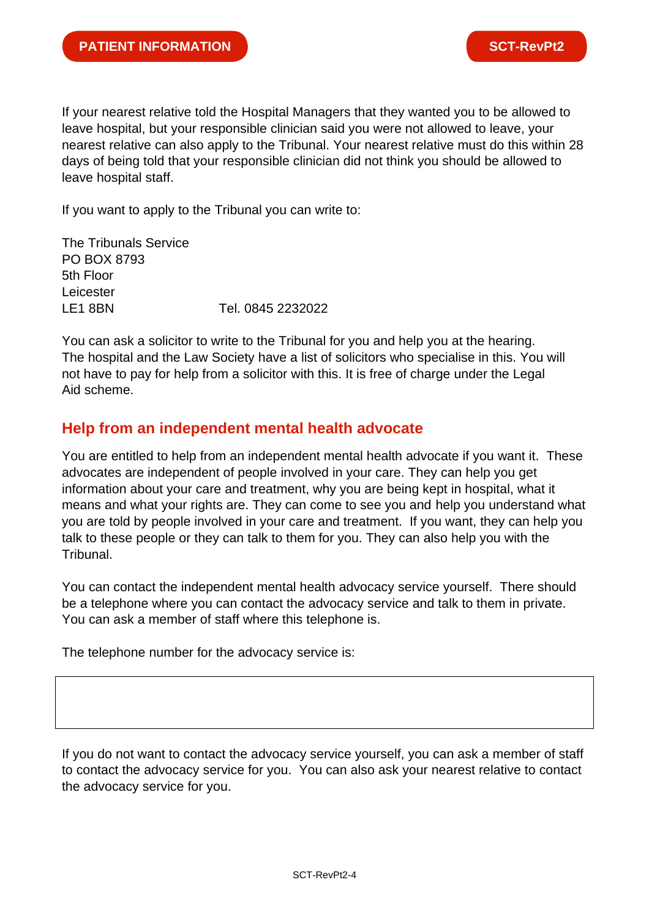If your nearest relative told the Hospital Managers that they wanted you to be allowed to leave hospital, but your responsible clinician said you were not allowed to leave, your nearest relative can also apply to the Tribunal. Your nearest relative must do this within 28 days of being told that your responsible clinician did not think you should be allowed to leave hospital staff.

If you want to apply to the Tribunal you can write to:

The Tribunals Service PO BOX 8793 5th Floor Leicester LE1 8BN Tel. 0845 2232022

You can ask a solicitor to write to the Tribunal for you and help you at the hearing. The hospital and the Law Society have a list of solicitors who specialise in this. You will not have to pay for help from a solicitor with this. It is free of charge under the Legal Aid scheme.

#### **Help from an independent mental health advocate**

You are entitled to help from an independent mental health advocate if you want it. These advocates are independent of people involved in your care. They can help you get information about your care and treatment, why you are being kept in hospital, what it means and what your rights are. They can come to see you and help you understand what you are told by people involved in your care and treatment. If you want, they can help you talk to these people or they can talk to them for you. They can also help you with the Tribunal.

You can contact the independent mental health advocacy service yourself. There should be a telephone where you can contact the advocacy service and talk to them in private. You can ask a member of staff where this telephone is.

The telephone number for the advocacy service is:

If you do not want to contact the advocacy service yourself, you can ask a member of staff to contact the advocacy service for you. You can also ask your nearest relative to contact the advocacy service for you.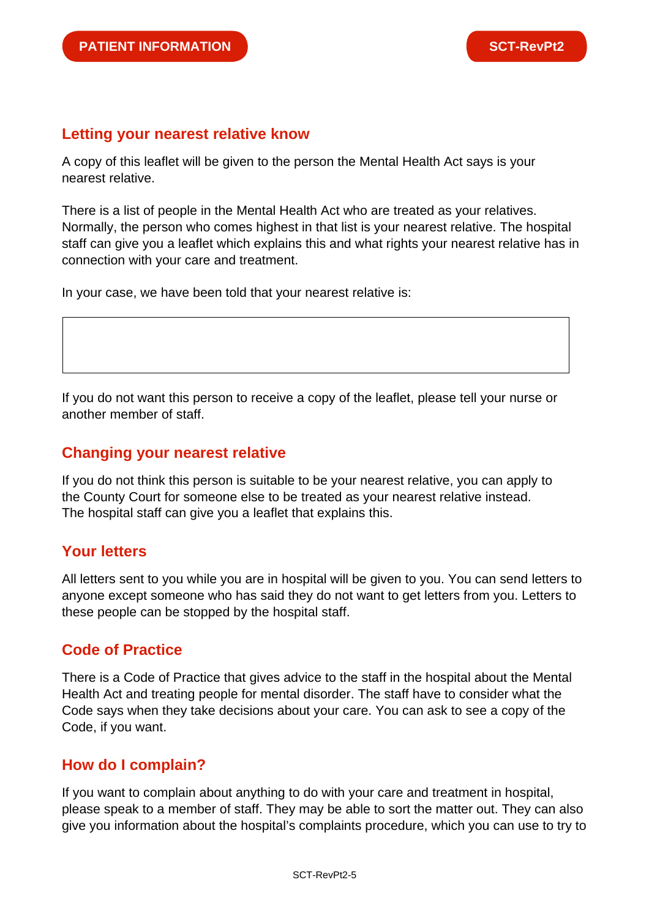#### **Letting your nearest relative know**

A copy of this leaflet will be given to the person the Mental Health Act says is your nearest relative.

There is a list of people in the Mental Health Act who are treated as your relatives. Normally, the person who comes highest in that list is your nearest relative. The hospital staff can give you a leaflet which explains this and what rights your nearest relative has in connection with your care and treatment.

In your case, we have been told that your nearest relative is:

If you do not want this person to receive a copy of the leaflet, please tell your nurse or another member of staff.

### **Changing your nearest relative**

If you do not think this person is suitable to be your nearest relative, you can apply to the County Court for someone else to be treated as your nearest relative instead. The hospital staff can give you a leaflet that explains this.

## **Your letters**

All letters sent to you while you are in hospital will be given to you. You can send letters to anyone except someone who has said they do not want to get letters from you. Letters to these people can be stopped by the hospital staff.

## **Code of Practice**

There is a Code of Practice that gives advice to the staff in the hospital about the Mental Health Act and treating people for mental disorder. The staff have to consider what the Code says when they take decisions about your care. You can ask to see a copy of the Code, if you want.

## **How do I complain?**

If you want to complain about anything to do with your care and treatment in hospital, please speak to a member of staff. They may be able to sort the matter out. They can also give you information about the hospital's complaints procedure, which you can use to try to